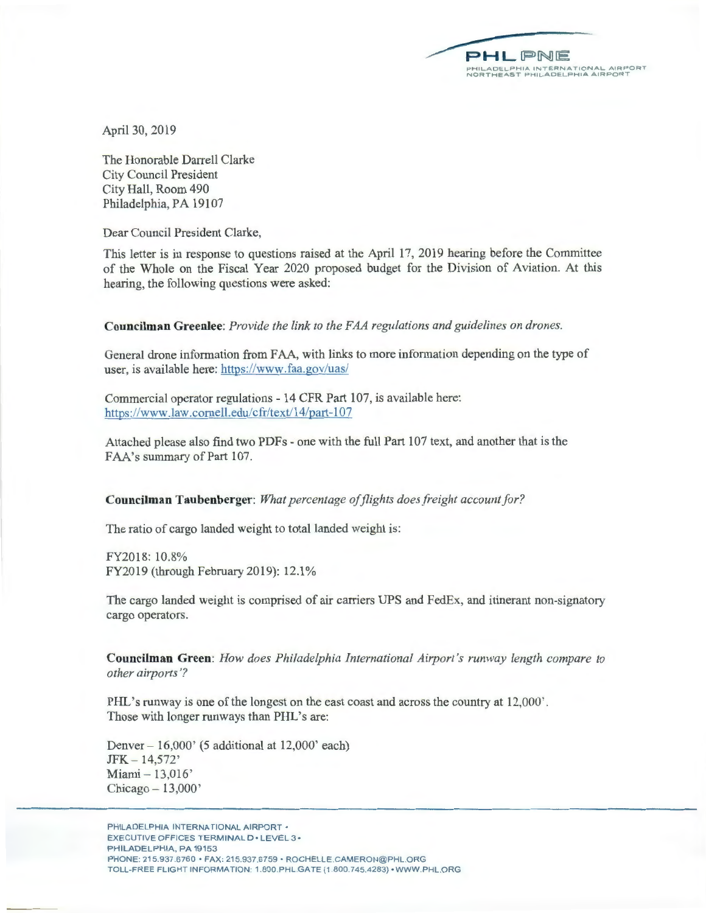**PHLPNE PHIL.AOLL..PHIA !Nl LR <sup>N</sup> A I IO <sup>N</sup> AL.. A <sup>I</sup> H OH T NORT <sup>H</sup> EAST PH ILADELPHIA AIRPORT** 

April 30, 2019

The Honorable Darrell Clarke City Council President City Hall, Room 490 Philadelphia, PA 19107

Dear Council President Clarke,

This letter is in response to questions raised at the April 17, 2019 hearing before the Committee of the Whole on the Fiscal Year 2020 proposed budget for the Division of Aviation. At this hearing, the following questions were asked:

**Councilman Greenlee:** *Provide the link to the FAA regulations and guidelines on drones.* 

General drone information from FAA, with links to more information depending on the type of user, is available here: https://www.faa.gov/uas/

Commercial operator regulations - 14 CFR Part 107, is available here: https://www.law.cornell.edu/cfr/text/14/part-107

Attached please also find two PDFs - one with the full Part 107 text, and another that is the FAA's summary of Part 107.

## **Councilman Taubenberger:** *What percentage of flights does freight account for ?*

The ratio of cargo landed weight to total landed weight is:

FY2018: 10.8% FY2019 (through February 2019): 12.l %

The cargo landed weight is comprised of air carriers UPS and FedEx, and itinerant non-signatory cargo operators.

**Councilman Green:** *How does Philadelphia International Airport 's runway length compare to other airports'?* 

PHL's runway is one of the longest on the east coast and across the country at 12,000'. Those with longer runways than PHL's are:

Denver - 16,000' (5 additional at 12,000' each) JFK - 14,572' Miami - 13,016'  $Chicago - 13,000'$